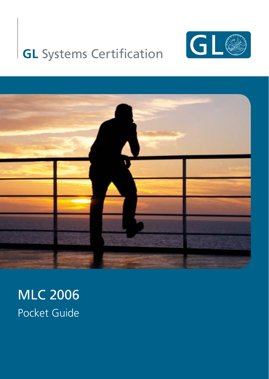# **GL** Systems Certification





## MLC 2006 Pocket Guide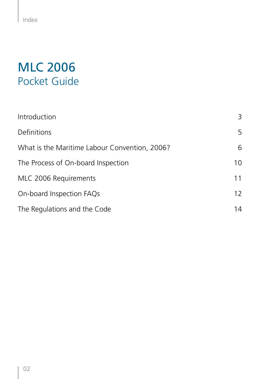## MLC 2006 Pocket Guide

| Introduction                                  | 3  |
|-----------------------------------------------|----|
| Definitions                                   | 5  |
| What is the Maritime Labour Convention, 2006? | 6  |
| The Process of On-board Inspection            | 10 |
| MLC 2006 Requirements                         | 11 |
| On-board Inspection FAQs                      | 12 |
| The Regulations and the Code                  | 14 |

 $\overline{\phantom{a}}$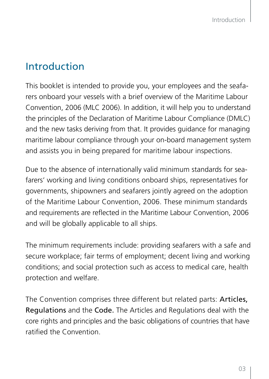## Introduction

This booklet is intended to provide you, your employees and the seafarers onboard your vessels with a brief overview of the Maritime Labour Convention, 2006 (MLC 2006). In addition, it will help you to understand the principles of the Declaration of Maritime Labour Compliance (DMLC) and the new tasks deriving from that. It provides guidance for managing maritime labour compliance through your on-board management system and assists you in being prepared for maritime labour inspections.

Due to the absence of internationally valid minimum standards for seafarers' working and living conditions onboard ships, representatives for governments, shipowners and seafarers jointly agreed on the adoption of the Maritime Labour Convention, 2006. These minimum standards and requirements are reflected in the Maritime Labour Convention, 2006 and will be globally applicable to all ships.

The minimum requirements include: providing seafarers with a safe and secure workplace; fair terms of employment; decent living and working conditions; and social protection such as access to medical care, health protection and welfare.

The Convention comprises three different but related parts: Articles, Regulations and the Code. The Articles and Regulations deal with the core rights and principles and the basic obligations of countries that have ratified the Convention.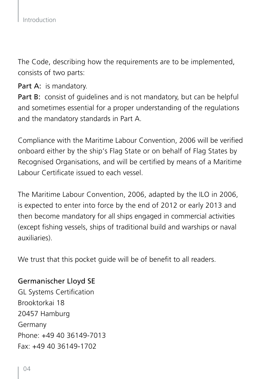The Code, describing how the requirements are to be implemented, consists of two parts:

Part A: is mandatory.

Part B: consist of quidelines and is not mandatory, but can be helpful and sometimes essential for a proper understanding of the regulations and the mandatory standards in Part A.

Compliance with the Maritime Labour Convention, 2006 will be verified onboard either by the ship's Flag State or on behalf of Flag States by Recognised Organisations, and will be certified by means of a Maritime Labour Certificate issued to each vessel.

The Maritime Labour Convention, 2006, adapted by the ILO in 2006, is expected to enter into force by the end of 2012 or early 2013 and then become mandatory for all ships engaged in commercial activities (except fishing vessels, ships of traditional build and warships or naval auxiliaries).

We trust that this pocket quide will be of benefit to all readers.

#### Germanischer Lloyd SE

GL Systems Certification Brooktorkai 18 20457 Hamburg Germany Phone: +49 40 36149-7013 Fax: +49 40 36149-1702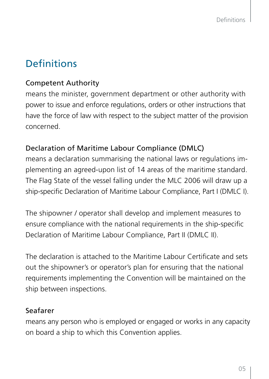## **Definitions**

#### Competent Authority

means the minister, government department or other authority with power to issue and enforce regulations, orders or other instructions that have the force of law with respect to the subject matter of the provision concerned.

#### Declaration of Maritime Labour Compliance (DMLC)

means a declaration summarising the national laws or regulations implementing an agreed-upon list of 14 areas of the maritime standard. The Flag State of the vessel falling under the MLC 2006 will draw up a ship-specific Declaration of Maritime Labour Compliance, Part I (DMLC I).

The shipowner / operator shall develop and implement measures to ensure compliance with the national requirements in the ship-specific Declaration of Maritime Labour Compliance, Part II (DMLC II).

The declaration is attached to the Maritime Labour Certificate and sets out the shipowner's or operator's plan for ensuring that the national requirements implementing the Convention will be maintained on the ship between inspections.

#### Seafarer

means any person who is employed or engaged or works in any capacity on board a ship to which this Convention applies.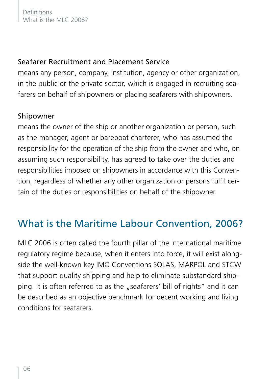#### Seafarer Recruitment and Placement Service

means any person, company, institution, agency or other organization, in the public or the private sector, which is engaged in recruiting seafarers on behalf of shipowners or placing seafarers with shipowners.

#### Shipowner

means the owner of the ship or another organization or person, such as the manager, agent or bareboat charterer, who has assumed the responsibility for the operation of the ship from the owner and who, on assuming such responsibility, has agreed to take over the duties and responsibilities imposed on shipowners in accordance with this Convention, regardless of whether any other organization or persons fulfil certain of the duties or responsibilities on behalf of the shipowner.

## What is the Maritime Labour Convention, 2006?

MLC 2006 is often called the fourth pillar of the international maritime regulatory regime because, when it enters into force, it will exist alongside the well-known key IMO Conventions SOLAS, MARPOL and STCW that support quality shipping and help to eliminate substandard shipping. It is often referred to as the "seafarers' bill of rights" and it can be described as an objective benchmark for decent working and living conditions for seafarers.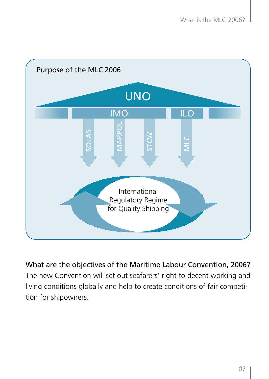

What are the objectives of the Maritime Labour Convention, 2006? The new Convention will set out seafarers' right to decent working and living conditions globally and help to create conditions of fair competition for shipowners.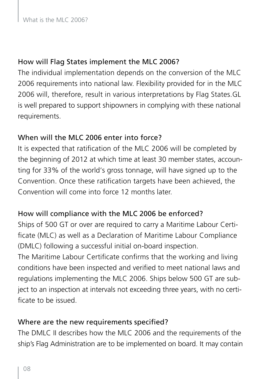#### How will Flag States implement the MLC 2006?

The individual implementation depends on the conversion of the MLC 2006 requirements into national law. Flexibility provided for in the MLC 2006 will, therefore, result in various interpretations by Flag States.GL is well prepared to support shipowners in complying with these national requirements.

#### When will the MLC 2006 enter into force?

It is expected that ratification of the MLC 2006 will be completed by the beginning of 2012 at which time at least 30 member states, accounting for 33% of the world's gross tonnage, will have signed up to the Convention. Once these ratification targets have been achieved, the Convention will come into force 12 months later.

#### How will compliance with the MLC 2006 be enforced?

Ships of 500 GT or over are required to carry a Maritime Labour Certificate (MLC) as well as a Declaration of Maritime Labour Compliance (DMLC) following a successful initial on-board inspection.

The Maritime Labour Certificate confirms that the working and living conditions have been inspected and verified to meet national laws and regulations implementing the MLC 2006. Ships below 500 GT are subject to an inspection at intervals not exceeding three years, with no certificate to be issued.

#### Where are the new requirements specified?

The DMLC II describes how the MLC 2006 and the requirements of the ship's Flag Administration are to be implemented on board. It may contain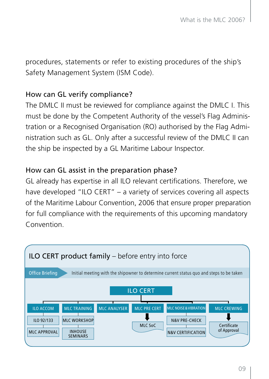procedures, statements or refer to existing procedures of the ship's Safety Management System (ISM Code).

#### How can GL verify compliance?

The DMLC II must be reviewed for compliance against the DMLC I. This must be done by the Competent Authority of the vessel's Flag Administration or a Recognised Organisation (RO) authorised by the Flag Administration such as GL. Only after a successful review of the DMLC II can the ship be inspected by a GL Maritime Labour Inspector.

#### How can GL assist in the preparation phase?

GL already has expertise in all ILO relevant certifications. Therefore, we have developed "ILO CERT" – a variety of services covering all aspects of the Maritime Labour Convention, 2006 that ensure proper preparation for full compliance with the requirements of this upcoming mandatory Convention.

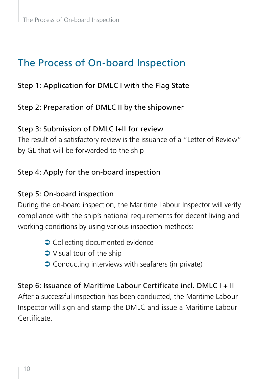## The Process of On-board Inspection

#### Step 1: Application for DMLC I with the Flag State

#### Step 2: Preparation of DMLC II by the shipowner

#### Step 3: Submission of DMLC I+II for review

The result of a satisfactory review is the issuance of a "Letter of Review" by GL that will be forwarded to the ship

#### Step 4: Apply for the on-board inspection

#### Step 5: On-board inspection

During the on-board inspection, the Maritime Labour Inspector will verify compliance with the ship's national requirements for decent living and working conditions by using various inspection methods:

- $\supset$  Collecting documented evidence
- $\supset$  Visual tour of the ship
- $\supset$  Conducting interviews with seafarers (in private)

## Step 6: Issuance of Maritime Labour Certificate incl. DMLC I + II

After a successful inspection has been conducted, the Maritime Labour Inspector will sign and stamp the DMLC and issue a Maritime Labour Certificate.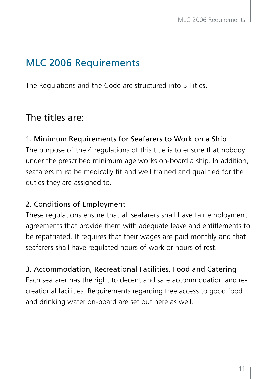## MLC 2006 Requirements

The Regulations and the Code are structured into 5 Titles.

#### The titles are:

#### 1. Minimum Requirements for Seafarers to Work on a Ship

The purpose of the 4 regulations of this title is to ensure that nobody under the prescribed minimum age works on-board a ship. In addition, seafarers must be medically fit and well trained and qualified for the duties they are assigned to.

#### 2. Conditions of Employment

These regulations ensure that all seafarers shall have fair employment agreements that provide them with adequate leave and entitlements to be repatriated. It requires that their wages are paid monthly and that seafarers shall have regulated hours of work or hours of rest.

3. Accommodation, Recreational Facilities, Food and Catering

Each seafarer has the right to decent and safe accommodation and recreational facilities. Requirements regarding free access to good food and drinking water on-board are set out here as well.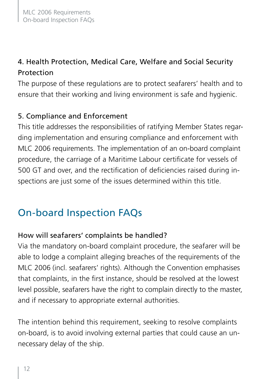#### 4. Health Protection, Medical Care, Welfare and Social Security Protection

The purpose of these regulations are to protect seafarers' health and to ensure that their working and living environment is safe and hygienic.

#### 5. Compliance and Enforcement

This title addresses the responsibilities of ratifying Member States regarding implementation and ensuring compliance and enforcement with MLC 2006 requirements. The implementation of an on-board complaint procedure, the carriage of a Maritime Labour certificate for vessels of 500 GT and over, and the rectification of deficiencies raised during inspections are just some of the issues determined within this title.

## On-board Inspection FAQs

#### How will seafarers' complaints be handled?

Via the mandatory on-board complaint procedure, the seafarer will be able to lodge a complaint alleging breaches of the requirements of the MLC 2006 (incl. seafarers' rights). Although the Convention emphasises that complaints, in the first instance, should be resolved at the lowest level possible, seafarers have the right to complain directly to the master, and if necessary to appropriate external authorities.

The intention behind this requirement, seeking to resolve complaints on-board, is to avoid involving external parties that could cause an unnecessary delay of the ship.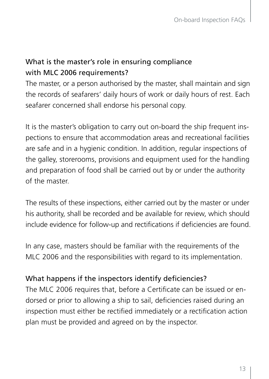#### What is the master's role in ensuring compliance with MLC 2006 requirements?

The master, or a person authorised by the master, shall maintain and sign the records of seafarers' daily hours of work or daily hours of rest. Each seafarer concerned shall endorse his personal copy.

It is the master's obligation to carry out on-board the ship frequent inspections to ensure that accommodation areas and recreational facilities are safe and in a hygienic condition. In addition, regular inspections of the galley, storerooms, provisions and equipment used for the handling and preparation of food shall be carried out by or under the authority of the master.

The results of these inspections, either carried out by the master or under his authority, shall be recorded and be available for review, which should include evidence for follow-up and rectifications if deficiencies are found.

In any case, masters should be familiar with the requirements of the MLC 2006 and the responsibilities with regard to its implementation.

#### What happens if the inspectors identify deficiencies?

The MLC 2006 requires that, before a Certificate can be issued or endorsed or prior to allowing a ship to sail, deficiencies raised during an inspection must either be rectified immediately or a rectification action plan must be provided and agreed on by the inspector.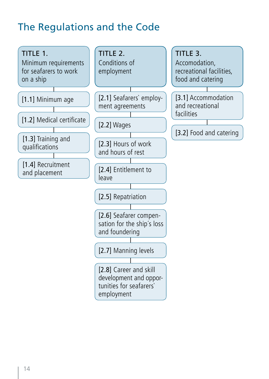## The Regulations and the Code

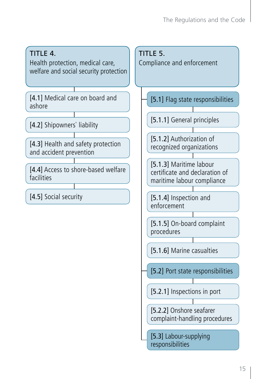